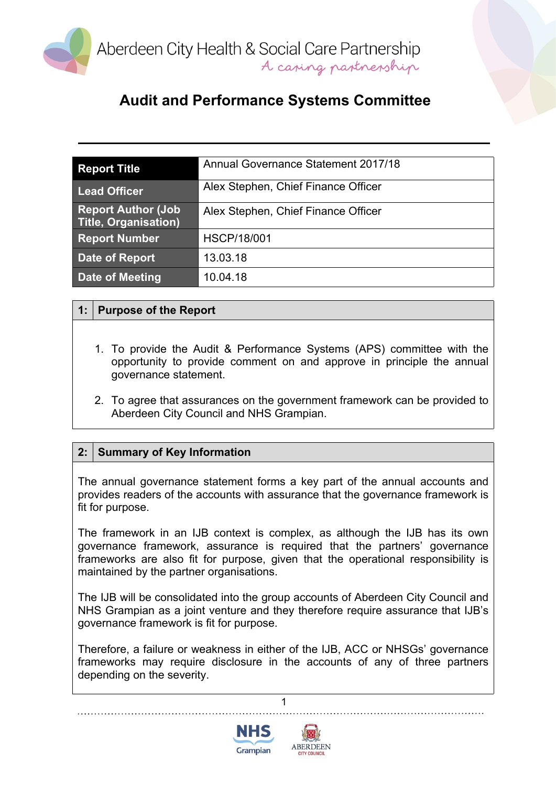

# **Audit and Performance Systems Committee**

| <b>Report Title</b>                                      | Annual Governance Statement 2017/18 |
|----------------------------------------------------------|-------------------------------------|
| <b>Lead Officer</b>                                      | Alex Stephen, Chief Finance Officer |
| <b>Report Author (Job</b><br><b>Title, Organisation)</b> | Alex Stephen, Chief Finance Officer |
| <b>Report Number</b>                                     | <b>HSCP/18/001</b>                  |
| Date of Report                                           | 13.03.18                            |
| <b>Date of Meeting</b>                                   | 10.04.18                            |

## **1: Purpose of the Report**

- 1. To provide the Audit & Performance Systems (APS) committee with the opportunity to provide comment on and approve in principle the annual governance statement.
- 2. To agree that assurances on the government framework can be provided to Aberdeen City Council and NHS Grampian.

### **2: Summary of Key Information**

The annual governance statement forms a key part of the annual accounts and provides readers of the accounts with assurance that the governance framework is fit for purpose.

The framework in an IJB context is complex, as although the IJB has its own governance framework, assurance is required that the partners' governance frameworks are also fit for purpose, given that the operational responsibility is maintained by the partner organisations.

The IJB will be consolidated into the group accounts of Aberdeen City Council and NHS Grampian as a joint venture and they therefore require assurance that IJB's governance framework is fit for purpose.

Therefore, a failure or weakness in either of the IJB, ACC or NHSGs' governance frameworks may require disclosure in the accounts of any of three partners depending on the severity.

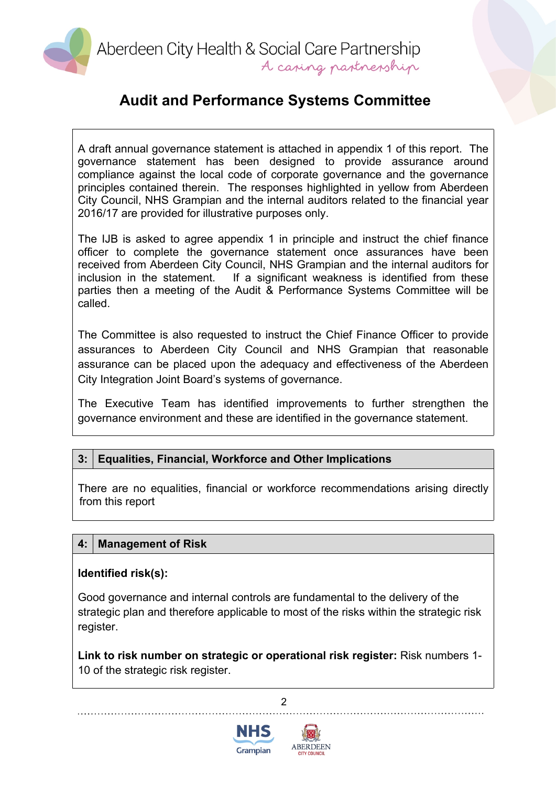Aberdeen City Health & Social Care Partnership A caring partnership

# **Audit and Performance Systems Committee**

A draft annual governance statement is attached in appendix 1 of this report. The governance statement has been designed to provide assurance around compliance against the local code of corporate governance and the governance principles contained therein. The responses highlighted in yellow from Aberdeen City Council, NHS Grampian and the internal auditors related to the financial year 2016/17 are provided for illustrative purposes only.

The IJB is asked to agree appendix 1 in principle and instruct the chief finance officer to complete the governance statement once assurances have been received from Aberdeen City Council, NHS Grampian and the internal auditors for inclusion in the statement. If a significant weakness is identified from these parties then a meeting of the Audit & Performance Systems Committee will be called.

The Committee is also requested to instruct the Chief Finance Officer to provide assurances to Aberdeen City Council and NHS Grampian that reasonable assurance can be placed upon the adequacy and effectiveness of the Aberdeen City Integration Joint Board's systems of governance.

The Executive Team has identified improvements to further strengthen the governance environment and these are identified in the governance statement.

## **3: Equalities, Financial, Workforce and Other Implications**

There are no equalities, financial or workforce recommendations arising directly from this report

### **4: Management of Risk**

#### **Identified risk(s):**

Good governance and internal controls are fundamental to the delivery of the strategic plan and therefore applicable to most of the risks within the strategic risk register.

**Link to risk number on strategic or operational risk register:** Risk numbers 1- 10 of the strategic risk register.

 $\mathfrak{p}$